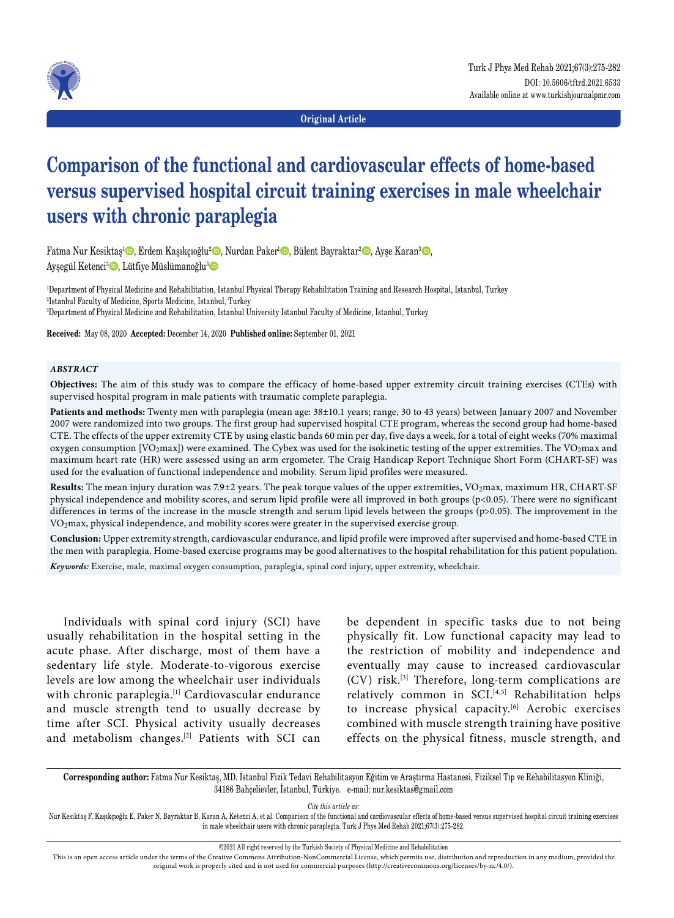

**Original Article**

# **Comparison of the functional and cardiovascular effects of home-based versus supervised hospital circuit training exercises in male wheelchair users with chronic paraplegia**

Fatma Nur Kesiktaş<sup>ı</sup> D, Erdem Kaşıkçıoğlu<sup>2</sup> D, Nurdan Paker<sup>ı</sup> D, Bülent Bayraktar<sup>2</sup> D, Ayşe Karan<sup>3</sup> D, Ayşegül Ketenci<sup>3</sup> D, Lütfiye Müslümanoğlu<sup>3</sup> D

1 Department of Physical Medicine and Rehabilitation, Istanbul Physical Therapy Rehabilitation Training and Research Hospital, Istanbul, Turkey 2 Istanbul Faculty of Medicine, Sports Medicine, Istanbul, Turkey 3 Department of Physical Medicine and Rehabilitation, Istanbul University Istanbul Faculty of Medicine, Istanbul, Turkey

**Received:** May 08, 2020 **Accepted:** December 14, 2020 **Published online:** September 01, 2021

#### *ABSTRACT*

**Objectives:** The aim of this study was to compare the efficacy of home-based upper extremity circuit training exercises (CTEs) with supervised hospital program in male patients with traumatic complete paraplegia.

**Patients and methods:** Twenty men with paraplegia (mean age: 38±10.1 years; range, 30 to 43 years) between January 2007 and November 2007 were randomized into two groups. The first group had supervised hospital CTE program, whereas the second group had home-based CTE. The effects of the upper extremity CTE by using elastic bands 60 min per day, five days a week, for a total of eight weeks (70% maximal oxygen consumption [VO<sub>2</sub>max]) were examined. The Cybex was used for the isokinetic testing of the upper extremities. The VO<sub>2</sub>max and maximum heart rate (HR) were assessed using an arm ergometer. The Craig Handicap Report Technique Short Form (CHART-SF) was used for the evaluation of functional independence and mobility. Serum lipid profiles were measured.

Results: The mean injury duration was 7.9±2 years. The peak torque values of the upper extremities, VO<sub>2</sub>max, maximum HR, CHART-SF physical independence and mobility scores, and serum lipid profile were all improved in both groups (p<0.05). There were no significant differences in terms of the increase in the muscle strength and serum lipid levels between the groups (p>0.05). The improvement in the VO2max, physical independence, and mobility scores were greater in the supervised exercise group.

**Conclusion:** Upper extremity strength, cardiovascular endurance, and lipid profile were improved after supervised and home-based CTE in the men with paraplegia. Home-based exercise programs may be good alternatives to the hospital rehabilitation for this patient population. *Keywords:* Exercise, male, maximal oxygen consumption, paraplegia, spinal cord injury, upper extremity, wheelchair.

Individuals with spinal cord injury (SCI) have usually rehabilitation in the hospital setting in the acute phase. After discharge, most of them have a sedentary life style. Moderate-to-vigorous exercise levels are low among the wheelchair user individuals with chronic paraplegia.<sup>[1]</sup> Cardiovascular endurance and muscle strength tend to usually decrease by time after SCI. Physical activity usually decreases and metabolism changes.[2] Patients with SCI can be dependent in specific tasks due to not being physically fit. Low functional capacity may lead to the restriction of mobility and independence and eventually may cause to increased cardiovascular (CV) risk.[3] Therefore, long-term complications are relatively common in SCI.<sup>[4,5]</sup> Rehabilitation helps to increase physical capacity.<sup>[6]</sup> Aerobic exercises combined with muscle strength training have positive effects on the physical fitness, muscle strength, and

**Corresponding author:** Fatma Nur Kesiktaş, MD. İstanbul Fizik Tedavi Rehabilitasyon Eğitim ve Araştırma Hastanesi, Fiziksel Tıp ve Rehabilitasyon Kliniği, 34186 Bahçelievler, İstanbul, Türkiye. e-mail: nur.kesiktas@gmail.com

*Cite this article as:*

Nur Kesiktaş F, Kaşıkçıoğlu E, Paker N, Bayraktar B, Karan A, Ketenci A, et al. Comparison of the functional and cardiovascular effects of home-based versus supervised hospital circuit training exercises in male wheelchair users with chronic paraplegia. Turk J Phys Med Rehab 2021;67(3):275-282.

©2021 All right reserved by the Turkish Society of Physical Medicine and Rehabilitation

This is an open access article under the terms of the Creative Commons Attribution-NonCommercial License, which permits use, distribution and reproduction in any medium, provided the original work is properly cited and is not used for commercial purposes (http://creativecommons.org/licenses/by-nc/4.0/).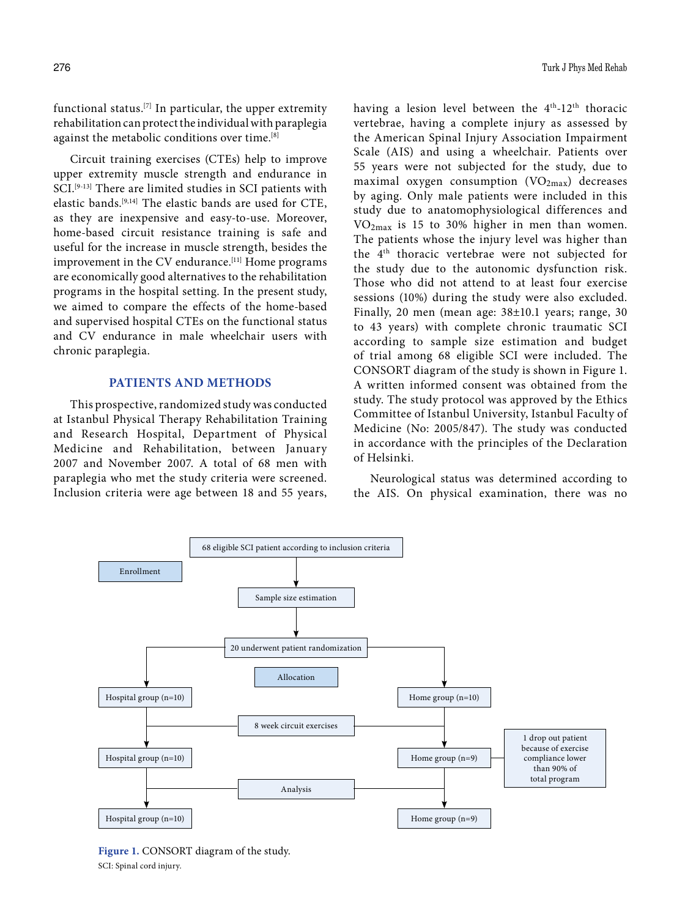functional status.[7] In particular, the upper extremity rehabilitation can protect the individual with paraplegia against the metabolic conditions over time.[8]

Circuit training exercises (CTEs) help to improve upper extremity muscle strength and endurance in SCI.<sup>[9-13]</sup> There are limited studies in SCI patients with elastic bands.[9,14] The elastic bands are used for CTE, as they are inexpensive and easy-to-use. Moreover, home-based circuit resistance training is safe and useful for the increase in muscle strength, besides the improvement in the CV endurance.<sup>[11]</sup> Home programs are economically good alternatives to the rehabilitation programs in the hospital setting. In the present study, we aimed to compare the effects of the home-based and supervised hospital CTEs on the functional status and CV endurance in male wheelchair users with chronic paraplegia.

## **PATIENTS AND METHODS**

This prospective, randomized study was conducted at Istanbul Physical Therapy Rehabilitation Training and Research Hospital, Department of Physical Medicine and Rehabilitation, between January 2007 and November 2007. A total of 68 men with paraplegia who met the study criteria were screened. Inclusion criteria were age between 18 and 55 years, having a lesion level between the 4<sup>th</sup>-12<sup>th</sup> thoracic vertebrae, having a complete injury as assessed by the American Spinal Injury Association Impairment Scale (AIS) and using a wheelchair. Patients over 55 years were not subjected for the study, due to maximal oxygen consumption  $(VO_{2max})$  decreases by aging. Only male patients were included in this study due to anatomophysiological differences and VO2max is 15 to 30% higher in men than women. The patients whose the injury level was higher than the 4th thoracic vertebrae were not subjected for the study due to the autonomic dysfunction risk. Those who did not attend to at least four exercise sessions (10%) during the study were also excluded. Finally, 20 men (mean age: 38±10.1 years; range, 30 to 43 years) with complete chronic traumatic SCI according to sample size estimation and budget of trial among 68 eligible SCI were included. The CONSORT diagram of the study is shown in Figure 1. A written informed consent was obtained from the study. The study protocol was approved by the Ethics Committee of Istanbul University, Istanbul Faculty of Medicine (No: 2005/847). The study was conducted in accordance with the principles of the Declaration of Helsinki.

Neurological status was determined according to the AIS. On physical examination, there was no



**Figure 1.** CONSORT diagram of the study. SCI: Spinal cord injury.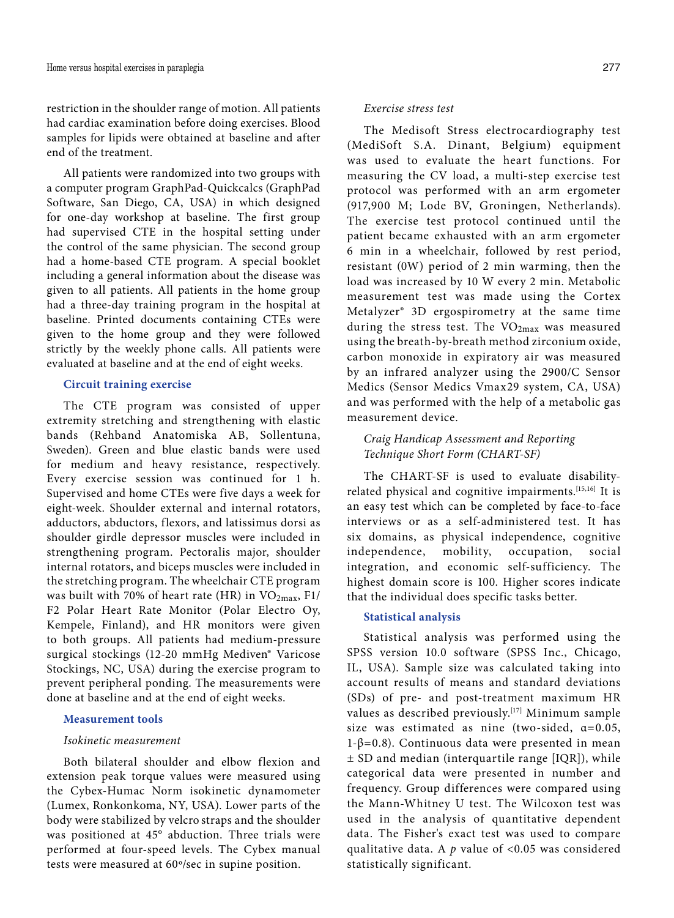restriction in the shoulder range of motion. All patients had cardiac examination before doing exercises. Blood samples for lipids were obtained at baseline and after end of the treatment.

All patients were randomized into two groups with a computer program GraphPad-Quickcalcs (GraphPad Software, San Diego, CA, USA) in which designed for one-day workshop at baseline. The first group had supervised CTE in the hospital setting under the control of the same physician. The second group had a home-based CTE program. A special booklet including a general information about the disease was given to all patients. All patients in the home group had a three-day training program in the hospital at baseline. Printed documents containing CTEs were given to the home group and they were followed strictly by the weekly phone calls. All patients were evaluated at baseline and at the end of eight weeks.

# **Circuit training exercise**

The CTE program was consisted of upper extremity stretching and strengthening with elastic bands (Rehband Anatomiska AB, Sollentuna, Sweden). Green and blue elastic bands were used for medium and heavy resistance, respectively. Every exercise session was continued for 1 h. Supervised and home CTEs were five days a week for eight-week. Shoulder external and internal rotators, adductors, abductors, flexors, and latissimus dorsi as shoulder girdle depressor muscles were included in strengthening program. Pectoralis major, shoulder internal rotators, and biceps muscles were included in the stretching program. The wheelchair CTE program was built with 70% of heart rate (HR) in  $VO<sub>2max</sub>$ , F1/ F2 Polar Heart Rate Monitor (Polar Electro Oy, Kempele, Finland), and HR monitors were given to both groups. All patients had medium-pressure surgical stockings (12-20 mmHg Mediven® Varicose Stockings, NC, USA) during the exercise program to prevent peripheral ponding. The measurements were done at baseline and at the end of eight weeks.

## **Measurement tools**

### *Isokinetic measurement*

Both bilateral shoulder and elbow flexion and extension peak torque values were measured using the Cybex-Humac Norm isokinetic dynamometer (Lumex, Ronkonkoma, NY, USA). Lower parts of the body were stabilized by velcro straps and the shoulder was positioned at 45° abduction. Three trials were performed at four-speed levels. The Cybex manual tests were measured at 60º/sec in supine position.

## *Exercise stress test*

The Medisoft Stress electrocardiography test (MediSoft S.A. Dinant, Belgium) equipment was used to evaluate the heart functions. For measuring the CV load, a multi-step exercise test protocol was performed with an arm ergometer (917,900 M; Lode BV, Groningen, Netherlands). The exercise test protocol continued until the patient became exhausted with an arm ergometer 6 min in a wheelchair, followed by rest period, resistant (0W) period of 2 min warming, then the load was increased by 10 W every 2 min. Metabolic measurement test was made using the Cortex Metalyzer® 3D ergospirometry at the same time during the stress test. The VO<sub>2max</sub> was measured using the breath-by-breath method zirconium oxide, carbon monoxide in expiratory air was measured by an infrared analyzer using the 2900/C Sensor Medics (Sensor Medics Vmax29 system, CA, USA) and was performed with the help of a metabolic gas measurement device.

# *Craig Handicap Assessment and Reporting Technique Short Form (CHART-SF)*

The CHART-SF is used to evaluate disabilityrelated physical and cognitive impairments.[15,16] It is an easy test which can be completed by face-to-face interviews or as a self-administered test. It has six domains, as physical independence, cognitive independence, mobility, occupation, social integration, and economic self-sufficiency. The highest domain score is 100. Higher scores indicate that the individual does specific tasks better.

### **Statistical analysis**

Statistical analysis was performed using the SPSS version 10.0 software (SPSS Inc., Chicago, IL, USA). Sample size was calculated taking into account results of means and standard deviations (SDs) of pre- and post-treatment maximum HR values as described previously.<sup>[17]</sup> Minimum sample size was estimated as nine (two-sided,  $\alpha=0.05$ ,  $1-\beta=0.8$ ). Continuous data were presented in mean ± SD and median (interquartile range [IQR]), while categorical data were presented in number and frequency. Group differences were compared using the Mann-Whitney U test. The Wilcoxon test was used in the analysis of quantitative dependent data. The Fisher's exact test was used to compare qualitative data. A *p* value of <0.05 was considered statistically significant.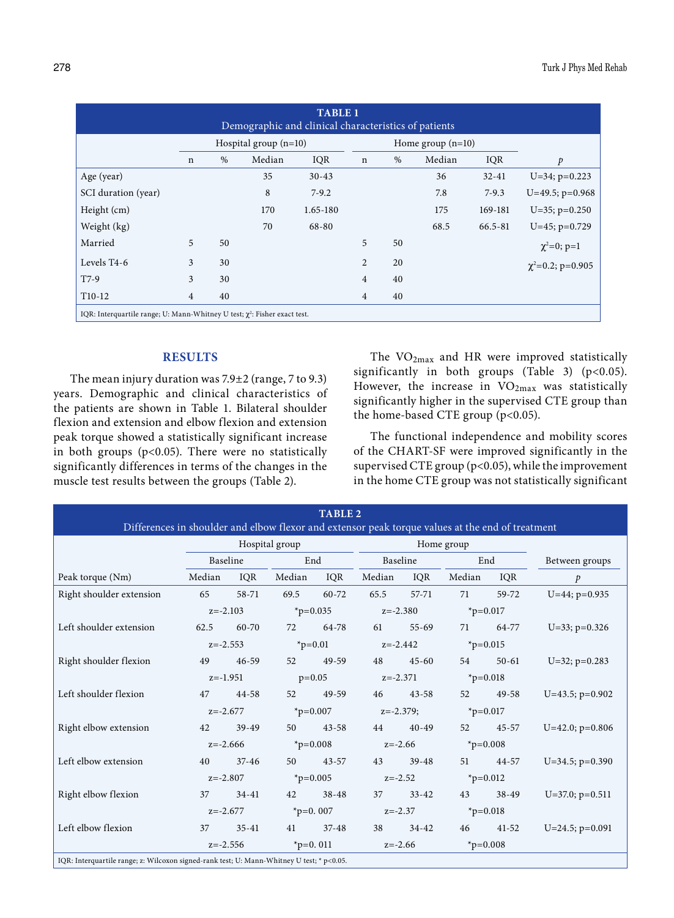| <b>TABLE 1</b><br>Demographic and clinical characteristics of patients          |                         |      |        |            |                |                     |        |           |                        |  |
|---------------------------------------------------------------------------------|-------------------------|------|--------|------------|----------------|---------------------|--------|-----------|------------------------|--|
|                                                                                 | Hospital group $(n=10)$ |      |        |            |                | Home group $(n=10)$ |        |           |                        |  |
|                                                                                 | $\mathbf n$             | $\%$ | Median | <b>IQR</b> | $\mathbf n$    | $\%$                | Median | IQR       | $\mathcal{P}$          |  |
| Age (year)                                                                      |                         |      | 35     | $30 - 43$  |                |                     | 36     | $32 - 41$ | $U=34$ ; $p=0.223$     |  |
| SCI duration (year)                                                             |                         |      | 8      | $7-9.2$    |                |                     | 7.8    | $7 - 9.3$ | $U=49.5$ ; $p=0.968$   |  |
| Height (cm)                                                                     |                         |      | 170    | 1.65-180   |                |                     | 175    | 169-181   | $U=35$ ; $p=0.250$     |  |
| Weight (kg)                                                                     |                         |      | 70     | 68-80      |                |                     | 68.5   | 66.5-81   | $U=45$ ; $p=0.729$     |  |
| Married                                                                         | 5                       | 50   |        |            | 5              | 50                  |        |           | $\chi^2=0$ ; p=1       |  |
| Levels T4-6                                                                     | 3                       | 30   |        |            | $\overline{2}$ | 20                  |        |           | $\chi^2$ =0.2; p=0.905 |  |
| $T7-9$                                                                          | 3                       | 30   |        |            | 4              | 40                  |        |           |                        |  |
| T <sub>10</sub> -12                                                             | 4                       | 40   |        |            | 4              | 40                  |        |           |                        |  |
| IQR: Interquartile range; U: Mann-Whitney U test; $\chi^2$ : Fisher exact test. |                         |      |        |            |                |                     |        |           |                        |  |

# **RESULTS**

The mean injury duration was 7.9±2 (range, 7 to 9.3) years. Demographic and clinical characteristics of the patients are shown in Table 1. Bilateral shoulder flexion and extension and elbow flexion and extension peak torque showed a statistically significant increase in both groups ( $p$ <0.05). There were no statistically significantly differences in terms of the changes in the muscle test results between the groups (Table 2).

The VO2max and HR were improved statistically significantly in both groups (Table 3) ( $p<0.05$ ). However, the increase in  $VO_{2max}$  was statistically significantly higher in the supervised CTE group than the home-based CTE group (p<0.05).

The functional independence and mobility scores of the CHART-SF were improved significantly in the supervised CTE group (p<0.05), while the improvement in the home CTE group was not statistically significant

| <b>TABLE 2</b><br>Differences in shoulder and elbow flexor and extensor peak torque values at the end of treatment |                                                                     |                |                 |            |              |           |               |           |                      |  |
|--------------------------------------------------------------------------------------------------------------------|---------------------------------------------------------------------|----------------|-----------------|------------|--------------|-----------|---------------|-----------|----------------------|--|
|                                                                                                                    |                                                                     | Hospital group |                 | Home group |              |           |               |           |                      |  |
|                                                                                                                    | Baseline                                                            |                | End             |            | Baseline     |           | End           |           | Between groups       |  |
| Peak torque (Nm)                                                                                                   | Median                                                              | IOR            | Median          | IQR        | Median       | IQR       | Median        | IQR       | $\mathcal{P}$        |  |
| Right shoulder extension                                                                                           | 65                                                                  | 58-71          |                 | 69.5 60-72 | 65.5         | 57-71     | 71            | 59-72     | $U=44$ ; $p=0.935$   |  |
|                                                                                                                    | $z=-2.103$                                                          |                | $*_{p=0.035}$   |            | $z = -2.380$ |           | $*_{p=0.017}$ |           |                      |  |
| Left shoulder extension                                                                                            | 62.5                                                                | 60-70          | 72              | 64-78      | 61           | $55 - 69$ | 71            | 64-77     | $U=33$ ; $p=0.326$   |  |
|                                                                                                                    | $z=-2.553$                                                          |                | $_{\rm p=0.01}$ |            | $z = -2.442$ |           | $*_{p=0.015}$ |           |                      |  |
| Right shoulder flexion                                                                                             | 49                                                                  | $46 - 59$      | 52              | 49-59      | 48           | $45 - 60$ | 54            | $50 - 61$ | $U=32$ ; $p=0.283$   |  |
|                                                                                                                    | $z=-1.951$                                                          |                | $p=0.05$        |            | $z=-2.371$   |           | $*_{p=0.018}$ |           |                      |  |
| Left shoulder flexion                                                                                              | 47                                                                  | 44-58          | 52              | 49-59      | 46           | $43 - 58$ | 52            | 49-58     | $U=43.5$ ; $p=0.902$ |  |
|                                                                                                                    | $z = -2.677$                                                        |                | $*_{p=0.007}$   |            | $z=-2.379;$  |           | * $p=0.017$   |           |                      |  |
| Right elbow extension                                                                                              | 42                                                                  | $39-49$        | 50              | $43 - 58$  | 44           | $40 - 49$ | 52            | $45 - 57$ | $U=42.0; p=0.806$    |  |
|                                                                                                                    | $z = -2.666$                                                        |                | $\ast p=0.008$  |            | $z = -2.66$  |           | $*_{p=0.008}$ |           |                      |  |
| Left elbow extension                                                                                               | 40                                                                  | $37 - 46$      | 50              | $43 - 57$  | 43           | $39 - 48$ | 51            | 44-57     | $U=34.5$ ; $p=0.390$ |  |
|                                                                                                                    | $z=-2.807$                                                          |                | $*_{p=0.005}$   |            | $z = -2.52$  |           | * $p=0.012$   |           |                      |  |
| Right elbow flexion                                                                                                | 37                                                                  | $34 - 41$      | 42              | $38 - 48$  | 37           | $33 - 42$ | 43            | $38 - 49$ | $U=37.0; p=0.511$    |  |
|                                                                                                                    | $z=-2.677$                                                          |                | * $p=0.007$     |            | $z=-2.37$    |           | $*_{p=0.018}$ |           |                      |  |
| Left elbow flexion                                                                                                 | 37                                                                  | $35 - 41$      | 41              | $37 - 48$  | 38           | $34 - 42$ | 46            | $41 - 52$ | $U=24.5$ ; $p=0.091$ |  |
|                                                                                                                    | $_{\text{p}=0.011}$<br>$z = -2.556$<br>$z = -2.66$<br>$*_{p=0.008}$ |                |                 |            |              |           |               |           |                      |  |
| IQR: Interquartile range; z: Wilcoxon signed-rank test; U: Mann-Whitney U test; * p<0.05.                          |                                                                     |                |                 |            |              |           |               |           |                      |  |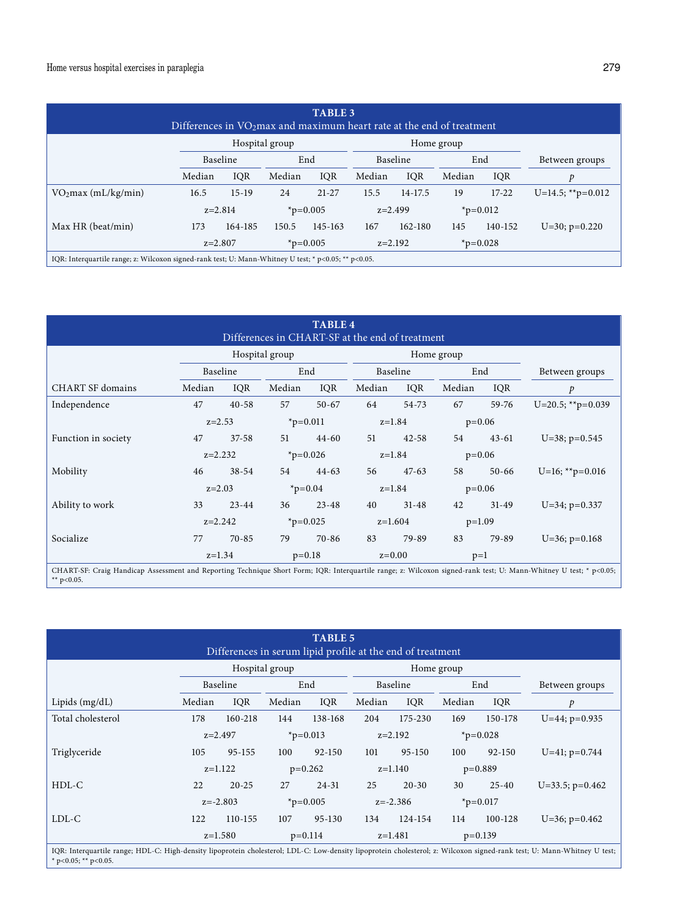| <b>TABLE 3</b><br>Differences in $VO2max$ and maximum heart rate at the end of treatment                   |           |         |                     |           |           |         |               |         |                      |
|------------------------------------------------------------------------------------------------------------|-----------|---------|---------------------|-----------|-----------|---------|---------------|---------|----------------------|
| Hospital group<br>Home group                                                                               |           |         |                     |           |           |         |               |         |                      |
|                                                                                                            | Baseline  |         | End                 |           | Baseline  |         | End           |         | Between groups       |
|                                                                                                            | Median    | IQR     | Median              | IQR       | Median    | IQR     | Median        | IQR     | p                    |
| VO <sub>2</sub> max (mL/kg/min)                                                                            | 16.5      | $15-19$ | 24                  | $21 - 27$ | 15.5      | 14-17.5 | 19            | $17-22$ | $U=14.5$ ; **p=0.012 |
|                                                                                                            | $z=2.814$ |         | $*_{p=0.005}$       |           | $z=2.499$ |         | $*_{p=0.012}$ |         |                      |
| Max HR (beat/min)                                                                                          | 173       | 164-185 | 150.5               | 145-163   | 167       | 162-180 | 145           | 140-152 | $U=30$ ; $p=0.220$   |
|                                                                                                            | $z=2.807$ |         | $_{\text{p}=0.005}$ |           | $z=2.192$ |         | $*_{p=0.028}$ |         |                      |
| IQR: Interquartile range; z: Wilcoxon signed-rank test; U: Mann-Whitney U test; * $p<0.05$ ; ** $p<0.05$ . |           |         |                     |           |           |         |               |         |                      |

| <b>TABLE 4</b><br>Differences in CHART-SF at the end of treatment                                                                                                                  |            |                      |                     |           |           |            |          |           |                      |  |
|------------------------------------------------------------------------------------------------------------------------------------------------------------------------------------|------------|----------------------|---------------------|-----------|-----------|------------|----------|-----------|----------------------|--|
|                                                                                                                                                                                    |            |                      | Hospital group      |           |           | Home group |          |           |                      |  |
|                                                                                                                                                                                    | Baseline   |                      | End                 |           | Baseline  |            | End      |           | Between groups       |  |
| <b>CHART SF domains</b>                                                                                                                                                            | Median     | IQR                  | Median              | IQR       | Median    | IQR        | Median   | IQR       | $\mathcal{P}$        |  |
| Independence                                                                                                                                                                       | 47         | $40 - 58$            | 57                  | $50 - 67$ | 64        | 54-73      | 67       | $59 - 76$ | $U=20.5$ ; **p=0.039 |  |
|                                                                                                                                                                                    | $z=2.53$   |                      | $*_{p=0.011}$       |           | $z=1.84$  |            | $p=0.06$ |           |                      |  |
| Function in society                                                                                                                                                                | 47         | $37 - 58$            | 51                  | $44 - 60$ | 51        | $42 - 58$  | 54       | $43 - 61$ | U=38; $p=0.545$      |  |
|                                                                                                                                                                                    | $z=2.232$  |                      | $_{\text{p}=0.026}$ |           | $z=1.84$  |            | $p=0.06$ |           |                      |  |
| Mobility                                                                                                                                                                           | 46         | $38 - 54$            | 54                  | $44 - 63$ | 56        | $47-63$    | 58       | $50 - 66$ | $U=16$ ; **p=0.016   |  |
|                                                                                                                                                                                    | $z = 2.03$ |                      | $*_{p=0.04}$        |           | $z=1.84$  |            | $p=0.06$ |           |                      |  |
| Ability to work                                                                                                                                                                    | 33         | $23 - 44$            | 36                  | $23 - 48$ | 40        | $31 - 48$  | 42       | $31 - 49$ | $U=34$ ; $p=0.337$   |  |
|                                                                                                                                                                                    | $z=2.242$  |                      | * $p=0.025$         |           | $z=1.604$ |            | $p=1.09$ |           |                      |  |
| Socialize                                                                                                                                                                          | 77         | $70 - 85$            | 79                  | $70 - 86$ | 83        | 79-89      | 83       | 79-89     | $U=36$ ; $p=0.168$   |  |
|                                                                                                                                                                                    |            | $z=1.34$<br>$p=0.18$ |                     |           |           | $z=0.00$   |          |           |                      |  |
| CHART-SF: Craig Handicap Assessment and Reporting Technique Short Form; IQR: Interquartile range; z: Wilcoxon signed-rank test; U: Mann-Whitney U test; * p<0.05;<br>** $p<0.05$ . |            |                      |                     |           |           |            |          |           |                      |  |

| <b>TABLE 5</b><br>Differences in serum lipid profile at the end of treatment |                |            |               |            |            |            |               |            |                      |
|------------------------------------------------------------------------------|----------------|------------|---------------|------------|------------|------------|---------------|------------|----------------------|
|                                                                              | Hospital group |            |               |            |            | Home group |               |            |                      |
|                                                                              |                | Baseline   |               | End        | Baseline   |            | End           |            | Between groups       |
| Lipids $(mg/dL)$                                                             | Median         | IOR        | Median        | IOR        | Median     | IQR        | Median        | IOR        | p                    |
| Total cholesterol                                                            | 178            | 160-218    | 144           | 138-168    | 204        | 175-230    | 169           | 150-178    | $U=44$ ; $p=0.935$   |
|                                                                              | $z = 2.497$    |            | $*_{p=0.013}$ |            | $z=2.192$  |            | $*_{p=0.028}$ |            |                      |
| Triglyceride                                                                 | 105            | $95 - 155$ | 100           | $92 - 150$ | 101        | 95-150     | 100           | $92 - 150$ | $U=41$ ; $p=0.744$   |
|                                                                              | $z=1.122$      |            | $p=0.262$     |            | $z=1.140$  |            | $p=0.889$     |            |                      |
| $HDL-C$                                                                      | 22             | $20 - 25$  | 27            | $24 - 31$  | 25         | $20 - 30$  | 30            | $25 - 40$  | $U=33.5$ ; $p=0.462$ |
|                                                                              | $z=-2.803$     |            | * $p=0.005$   |            | $z=-2.386$ |            | $*_{p=0.017}$ |            |                      |
| $LDL-C$                                                                      | 122            | 110-155    | 107           | 95-130     | 134        | 124-154    | 114           | 100-128    | $U=36$ ; $p=0.462$   |
|                                                                              | $z=1.580$      |            | $p=0.114$     |            | $z=1.481$  |            | $p=0.139$     |            |                      |

IQR: Interquartile range; HDL-C: High-density lipoprotein cholesterol; LDL-C: Low-density lipoprotein cholesterol; z: Wilcoxon signed-rank test; U: Mann-Whitney U test; \* p<0.05; \*\* p<0.05.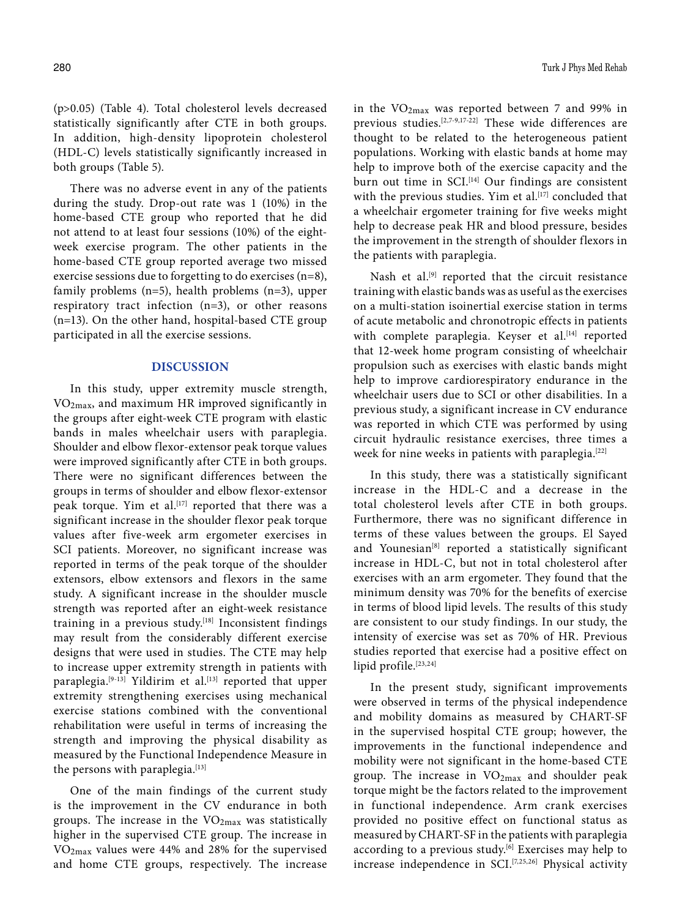(p>0.05) (Table 4). Total cholesterol levels decreased statistically significantly after CTE in both groups. In addition, high-density lipoprotein cholesterol (HDL-C) levels statistically significantly increased in both groups (Table 5).

There was no adverse event in any of the patients during the study. Drop-out rate was 1 (10%) in the home-based CTE group who reported that he did not attend to at least four sessions (10%) of the eightweek exercise program. The other patients in the home-based CTE group reported average two missed exercise sessions due to forgetting to do exercises (n=8), family problems (n=5), health problems (n=3), upper respiratory tract infection (n=3), or other reasons (n=13). On the other hand, hospital-based CTE group participated in all the exercise sessions.

## **DISCUSSION**

In this study, upper extremity muscle strength,  $VO<sub>2max</sub>$ , and maximum HR improved significantly in the groups after eight-week CTE program with elastic bands in males wheelchair users with paraplegia. Shoulder and elbow flexor-extensor peak torque values were improved significantly after CTE in both groups. There were no significant differences between the groups in terms of shoulder and elbow flexor-extensor peak torque. Yim et al.<sup>[17]</sup> reported that there was a significant increase in the shoulder flexor peak torque values after five-week arm ergometer exercises in SCI patients. Moreover, no significant increase was reported in terms of the peak torque of the shoulder extensors, elbow extensors and flexors in the same study. A significant increase in the shoulder muscle strength was reported after an eight-week resistance training in a previous study.<sup>[18]</sup> Inconsistent findings may result from the considerably different exercise designs that were used in studies. The CTE may help to increase upper extremity strength in patients with paraplegia.<sup>[9-13]</sup> Yildirim et al.<sup>[13]</sup> reported that upper extremity strengthening exercises using mechanical exercise stations combined with the conventional rehabilitation were useful in terms of increasing the strength and improving the physical disability as measured by the Functional Independence Measure in the persons with paraplegia.<sup>[13]</sup>

One of the main findings of the current study is the improvement in the CV endurance in both groups. The increase in the  $VO<sub>2max</sub>$  was statistically higher in the supervised CTE group. The increase in  $VO<sub>2max</sub>$  values were 44% and 28% for the supervised and home CTE groups, respectively. The increase

in the  $VO_{2max}$  was reported between 7 and 99% in previous studies.[2,7-9,17-22] These wide differences are thought to be related to the heterogeneous patient populations. Working with elastic bands at home may help to improve both of the exercise capacity and the burn out time in SCI.<sup>[14]</sup> Our findings are consistent with the previous studies. Yim et al.<sup>[17]</sup> concluded that a wheelchair ergometer training for five weeks might help to decrease peak HR and blood pressure, besides the improvement in the strength of shoulder flexors in the patients with paraplegia.

Nash et al.<sup>[9]</sup> reported that the circuit resistance training with elastic bands was as useful as the exercises on a multi-station isoinertial exercise station in terms of acute metabolic and chronotropic effects in patients with complete paraplegia. Keyser et al.<sup>[14]</sup> reported that 12-week home program consisting of wheelchair propulsion such as exercises with elastic bands might help to improve cardiorespiratory endurance in the wheelchair users due to SCI or other disabilities. In a previous study, a significant increase in CV endurance was reported in which CTE was performed by using circuit hydraulic resistance exercises, three times a week for nine weeks in patients with paraplegia.<sup>[22]</sup>

In this study, there was a statistically significant increase in the HDL-C and a decrease in the total cholesterol levels after CTE in both groups. Furthermore, there was no significant difference in terms of these values between the groups. El Sayed and Younesian<sup>[8]</sup> reported a statistically significant increase in HDL-C, but not in total cholesterol after exercises with an arm ergometer. They found that the minimum density was 70% for the benefits of exercise in terms of blood lipid levels. The results of this study are consistent to our study findings. In our study, the intensity of exercise was set as 70% of HR. Previous studies reported that exercise had a positive effect on lipid profile.<sup>[23,24]</sup>

In the present study, significant improvements were observed in terms of the physical independence and mobility domains as measured by CHART-SF in the supervised hospital CTE group; however, the improvements in the functional independence and mobility were not significant in the home-based CTE group. The increase in  $VO<sub>2max</sub>$  and shoulder peak torque might be the factors related to the improvement in functional independence. Arm crank exercises provided no positive effect on functional status as measured by CHART-SF in the patients with paraplegia according to a previous study.<sup>[6]</sup> Exercises may help to increase independence in SCI. $[7,25,26]$  Physical activity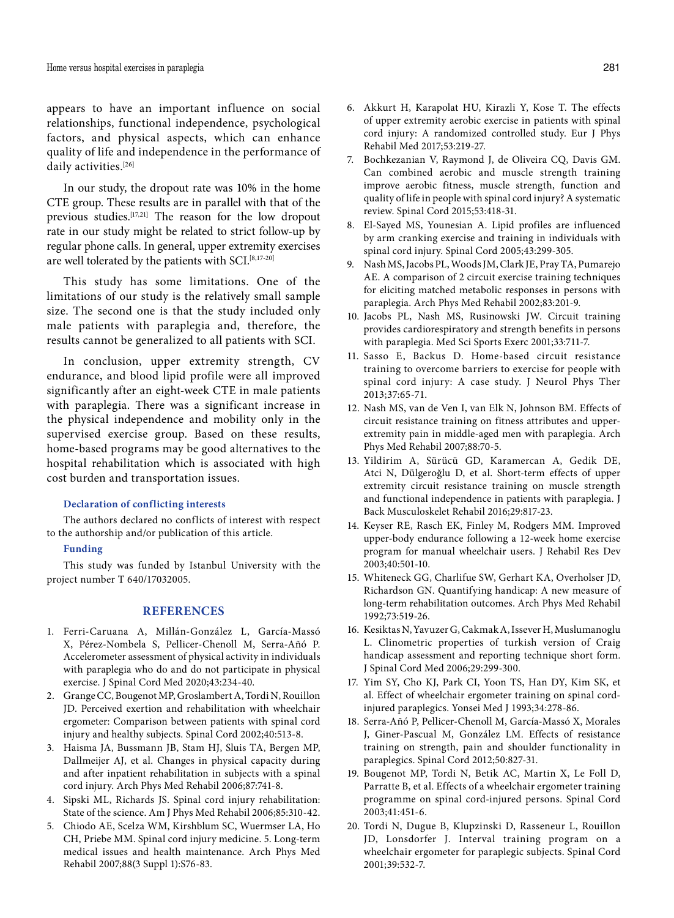appears to have an important influence on social relationships, functional independence, psychological factors, and physical aspects, which can enhance quality of life and independence in the performance of daily activities.<sup>[26]</sup>

In our study, the dropout rate was 10% in the home CTE group. These results are in parallel with that of the previous studies.[17,21] The reason for the low dropout rate in our study might be related to strict follow-up by regular phone calls. In general, upper extremity exercises are well tolerated by the patients with SCI.<sup>[8,17-20]</sup>

This study has some limitations. One of the limitations of our study is the relatively small sample size. The second one is that the study included only male patients with paraplegia and, therefore, the results cannot be generalized to all patients with SCI.

In conclusion, upper extremity strength, CV endurance, and blood lipid profile were all improved significantly after an eight-week CTE in male patients with paraplegia. There was a significant increase in the physical independence and mobility only in the supervised exercise group. Based on these results, home-based programs may be good alternatives to the hospital rehabilitation which is associated with high cost burden and transportation issues.

#### **Declaration of conflicting interests**

The authors declared no conflicts of interest with respect to the authorship and/or publication of this article.

## **Funding**

This study was funded by Istanbul University with the project number T 640/17032005.

## **REFERENCES**

- 1. Ferri-Caruana A, Millán-González L, García-Massó X, Pérez-Nombela S, Pellicer-Chenoll M, Serra-Añó P. Accelerometer assessment of physical activity in individuals with paraplegia who do and do not participate in physical exercise. J Spinal Cord Med 2020;43:234-40.
- 2. Grange CC, Bougenot MP, Groslambert A, Tordi N, Rouillon JD. Perceived exertion and rehabilitation with wheelchair ergometer: Comparison between patients with spinal cord injury and healthy subjects. Spinal Cord 2002;40:513-8.
- 3. Haisma JA, Bussmann JB, Stam HJ, Sluis TA, Bergen MP, Dallmeijer AJ, et al. Changes in physical capacity during and after inpatient rehabilitation in subjects with a spinal cord injury. Arch Phys Med Rehabil 2006;87:741-8.
- 4. Sipski ML, Richards JS. Spinal cord injury rehabilitation: State of the science. Am J Phys Med Rehabil 2006;85:310-42.
- 5. Chiodo AE, Scelza WM, Kirshblum SC, Wuermser LA, Ho CH, Priebe MM. Spinal cord injury medicine. 5. Long-term medical issues and health maintenance. Arch Phys Med Rehabil 2007;88(3 Suppl 1):S76-83.
- 6. Akkurt H, Karapolat HU, Kirazli Y, Kose T. The effects of upper extremity aerobic exercise in patients with spinal cord injury: A randomized controlled study. Eur J Phys Rehabil Med 2017;53:219-27.
- 7. Bochkezanian V, Raymond J, de Oliveira CQ, Davis GM. Can combined aerobic and muscle strength training improve aerobic fitness, muscle strength, function and quality of life in people with spinal cord injury? A systematic review. Spinal Cord 2015;53:418-31.
- 8. El-Sayed MS, Younesian A. Lipid profiles are influenced by arm cranking exercise and training in individuals with spinal cord injury. Spinal Cord 2005;43:299-305.
- 9. Nash MS, Jacobs PL, Woods JM, Clark JE, Pray TA, Pumarejo AE. A comparison of 2 circuit exercise training techniques for eliciting matched metabolic responses in persons with paraplegia. Arch Phys Med Rehabil 2002;83:201-9.
- 10. Jacobs PL, Nash MS, Rusinowski JW. Circuit training provides cardiorespiratory and strength benefits in persons with paraplegia. Med Sci Sports Exerc 2001;33:711-7.
- 11. Sasso E, Backus D. Home-based circuit resistance training to overcome barriers to exercise for people with spinal cord injury: A case study. J Neurol Phys Ther 2013;37:65-71.
- 12. Nash MS, van de Ven I, van Elk N, Johnson BM. Effects of circuit resistance training on fitness attributes and upperextremity pain in middle-aged men with paraplegia. Arch Phys Med Rehabil 2007;88:70-5.
- 13. Yildirim A, Sürücü GD, Karamercan A, Gedik DE, Atci N, Dülgeroğlu D, et al. Short-term effects of upper extremity circuit resistance training on muscle strength and functional independence in patients with paraplegia. J Back Musculoskelet Rehabil 2016;29:817-23.
- 14. Keyser RE, Rasch EK, Finley M, Rodgers MM. Improved upper-body endurance following a 12-week home exercise program for manual wheelchair users. J Rehabil Res Dev 2003;40:501-10.
- 15. Whiteneck GG, Charlifue SW, Gerhart KA, Overholser JD, Richardson GN. Quantifying handicap: A new measure of long-term rehabilitation outcomes. Arch Phys Med Rehabil 1992;73:519-26.
- 16. Kesiktas N, Yavuzer G, Cakmak A, Issever H, Muslumanoglu L. Clinometric properties of turkish version of Craig handicap assessment and reporting technique short form. J Spinal Cord Med 2006;29:299-300.
- 17. Yim SY, Cho KJ, Park CI, Yoon TS, Han DY, Kim SK, et al. Effect of wheelchair ergometer training on spinal cordinjured paraplegics. Yonsei Med J 1993;34:278-86.
- 18. Serra-Añó P, Pellicer-Chenoll M, García-Massó X, Morales J, Giner-Pascual M, González LM. Effects of resistance training on strength, pain and shoulder functionality in paraplegics. Spinal Cord 2012;50:827-31.
- 19. Bougenot MP, Tordi N, Betik AC, Martin X, Le Foll D, Parratte B, et al. Effects of a wheelchair ergometer training programme on spinal cord-injured persons. Spinal Cord 2003;41:451-6.
- 20. Tordi N, Dugue B, Klupzinski D, Rasseneur L, Rouillon JD, Lonsdorfer J. Interval training program on a wheelchair ergometer for paraplegic subjects. Spinal Cord 2001;39:532-7.